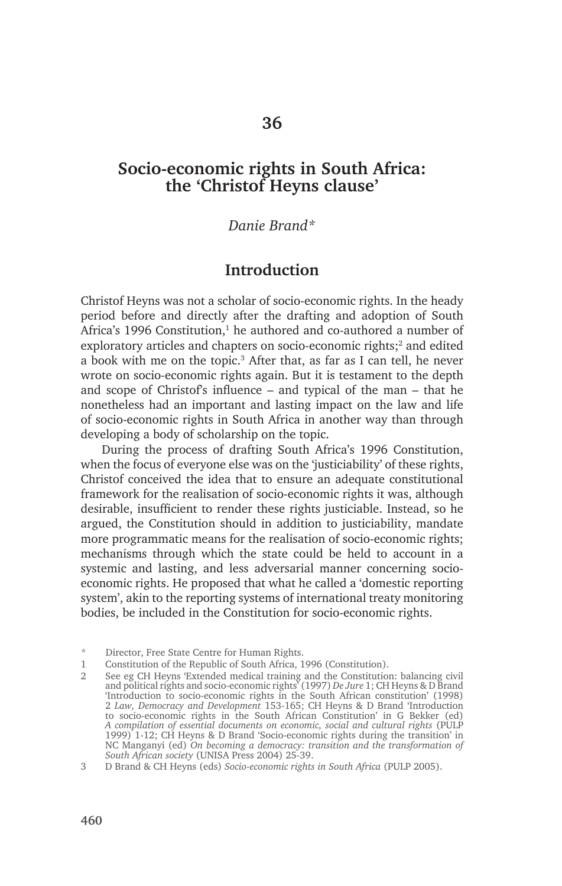# **Socio-economic rights in South Africa: the 'Christof Heyns clause'**

#### *Danie Brand\**

### **Introduction**

Christof Heyns was not a scholar of socio-economic rights. In the heady period before and directly after the drafting and adoption of South Africa's 1996 Constitution,<sup>1</sup> he authored and co-authored a number of exploratory articles and chapters on socio-economic rights;<sup>2</sup> and edited a book with me on the topic.<sup>3</sup> After that, as far as I can tell, he never wrote on socio-economic rights again. But it is testament to the depth and scope of Christof's influence – and typical of the man – that he nonetheless had an important and lasting impact on the law and life of socio-economic rights in South Africa in another way than through developing a body of scholarship on the topic.

During the process of drafting South Africa's 1996 Constitution, when the focus of everyone else was on the 'justiciability' of these rights, Christof conceived the idea that to ensure an adequate constitutional framework for the realisation of socio-economic rights it was, although desirable, insufficient to render these rights justiciable. Instead, so he argued, the Constitution should in addition to justiciability, mandate more programmatic means for the realisation of socio-economic rights; mechanisms through which the state could be held to account in a systemic and lasting, and less adversarial manner concerning socioeconomic rights. He proposed that what he called a 'domestic reporting system', akin to the reporting systems of international treaty monitoring bodies, be included in the Constitution for socio-economic rights.

Director, Free State Centre for Human Rights.

<sup>1</sup> Constitution of the Republic of South Africa, 1996 (Constitution).

<sup>2</sup> See eg CH Heyns 'Extended medical training and the Constitution: balancing civil and political rights and socio-economic rights' (1997) *De Jure* 1; CH Heyns & D Brand 'Introduction to socio-economic rights in the South African constitution' (1998) 2 *Law, Democracy and Development* 153-165; CH Heyns & D Brand 'Introduction to socio-economic rights in the South African Constitution' in G Bekker (ed) *A compilation of essential documents on economic, social and cultural rights* (PULP 1999) 1-12; CH Heyns & D Brand 'Socio-economic rights during the transition' in NC Manganyi (ed) *On becoming a democracy: transition and the transformation of South African society* (UNISA Press 2004) 25-39.

<sup>3</sup> D Brand & CH Heyns (eds) *Socio-economic rights in South Africa* (PULP 2005).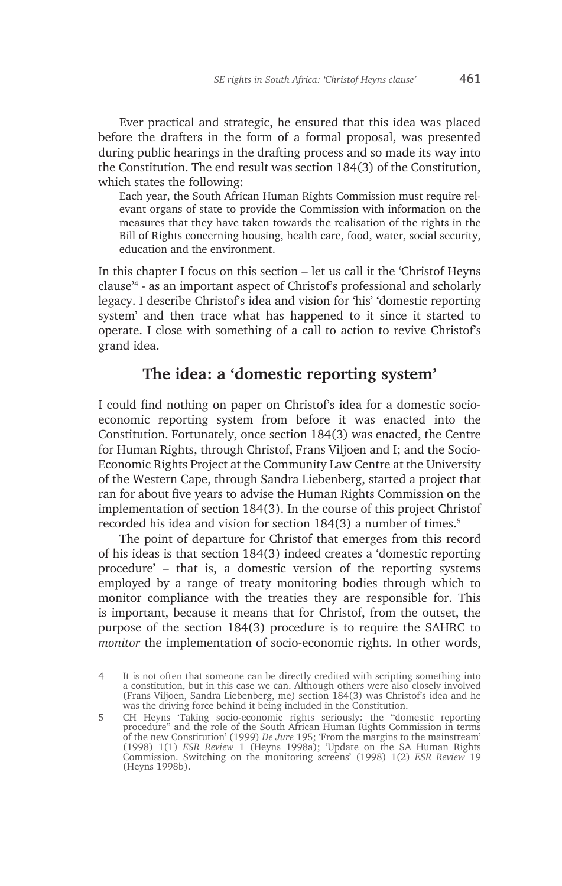Ever practical and strategic, he ensured that this idea was placed before the drafters in the form of a formal proposal, was presented during public hearings in the drafting process and so made its way into the Constitution. The end result was section 184(3) of the Constitution, which states the following:

Each year, the South African Human Rights Commission must require relevant organs of state to provide the Commission with information on the measures that they have taken towards the realisation of the rights in the Bill of Rights concerning housing, health care, food, water, social security, education and the environment.

In this chapter I focus on this section – let us call it the 'Christof Heyns clause'4 - as an important aspect of Christof's professional and scholarly legacy. I describe Christof's idea and vision for 'his' 'domestic reporting system' and then trace what has happened to it since it started to operate. I close with something of a call to action to revive Christof's grand idea.

## **The idea: a 'domestic reporting system'**

I could find nothing on paper on Christof's idea for a domestic socioeconomic reporting system from before it was enacted into the Constitution. Fortunately, once section 184(3) was enacted, the Centre for Human Rights, through Christof, Frans Viljoen and I; and the Socio-Economic Rights Project at the Community Law Centre at the University of the Western Cape, through Sandra Liebenberg, started a project that ran for about five years to advise the Human Rights Commission on the implementation of section 184(3). In the course of this project Christof recorded his idea and vision for section 184(3) a number of times.<sup>5</sup>

The point of departure for Christof that emerges from this record of his ideas is that section 184(3) indeed creates a 'domestic reporting procedure' – that is, a domestic version of the reporting systems employed by a range of treaty monitoring bodies through which to monitor compliance with the treaties they are responsible for. This is important, because it means that for Christof, from the outset, the purpose of the section 184(3) procedure is to require the SAHRC to *monitor* the implementation of socio-economic rights. In other words,

<sup>4</sup> It is not often that someone can be directly credited with scripting something into a constitution, but in this case we can. Although others were also closely involved (Frans Viljoen, Sandra Liebenberg, me) section 184(3) was Christof's idea and he was the driving force behind it being included in the Constitution.

<sup>5</sup> CH Heyns 'Taking socio-economic rights seriously: the "domestic reporting procedure" and the role of the South African Human Rights Commission in terms of the new Constitution' (1999) *De Jure* 195; 'From the margins to the mainstream' (1998) 1(1) *ESR Review* 1 (Heyns 1998a); 'Update on the SA Human Rights Commission. Switching on the monitoring screens' (1998) 1(2) *ESR Review* 19 (Heyns 1998b).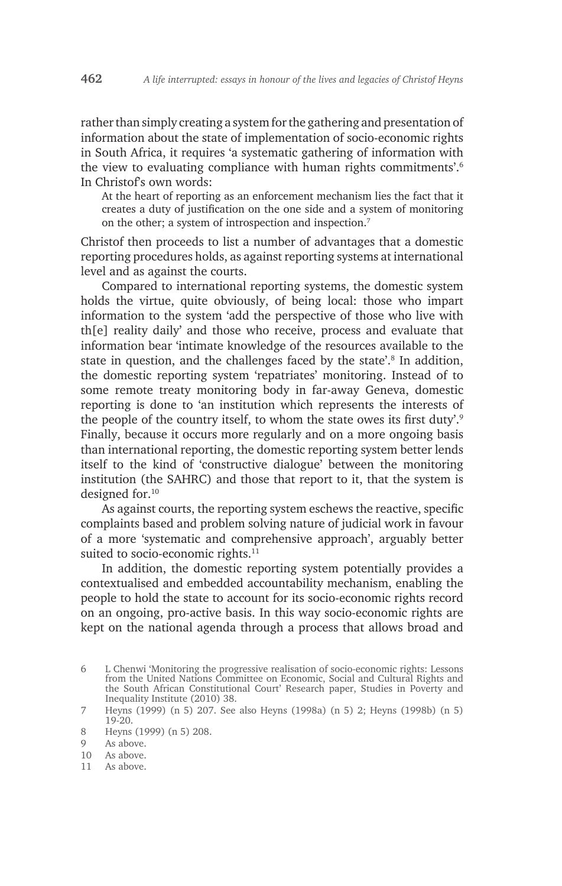rather than simply creating a system for the gathering and presentation of information about the state of implementation of socio-economic rights in South Africa, it requires 'a systematic gathering of information with the view to evaluating compliance with human rights commitments'.6 In Christof's own words:

At the heart of reporting as an enforcement mechanism lies the fact that it creates a duty of justification on the one side and a system of monitoring on the other; a system of introspection and inspection.7

Christof then proceeds to list a number of advantages that a domestic reporting procedures holds, as against reporting systems at international level and as against the courts.

Compared to international reporting systems, the domestic system holds the virtue, quite obviously, of being local: those who impart information to the system 'add the perspective of those who live with th[e] reality daily' and those who receive, process and evaluate that information bear 'intimate knowledge of the resources available to the state in question, and the challenges faced by the state'.<sup>8</sup> In addition, the domestic reporting system 'repatriates' monitoring. Instead of to some remote treaty monitoring body in far-away Geneva, domestic reporting is done to 'an institution which represents the interests of the people of the country itself, to whom the state owes its first duty'.<sup>9</sup> Finally, because it occurs more regularly and on a more ongoing basis than international reporting, the domestic reporting system better lends itself to the kind of 'constructive dialogue' between the monitoring institution (the SAHRC) and those that report to it, that the system is designed for.10

As against courts, the reporting system eschews the reactive, specific complaints based and problem solving nature of judicial work in favour of a more 'systematic and comprehensive approach', arguably better suited to socio-economic rights.<sup>11</sup>

In addition, the domestic reporting system potentially provides a contextualised and embedded accountability mechanism, enabling the people to hold the state to account for its socio-economic rights record on an ongoing, pro-active basis. In this way socio-economic rights are kept on the national agenda through a process that allows broad and

11 As above.

<sup>6</sup> L Chenwi 'Monitoring the progressive realisation of socio-economic rights: Lessons from the United Nations Committee on Economic, Social and Cultural Rights and the South African Constitutional Court' Research paper, Studies in Poverty and Inequality Institute (2010) 38.

<sup>7</sup> Heyns (1999) (n 5) 207. See also Heyns (1998a) (n 5) 2; Heyns (1998b) (n 5) 19-20.

<sup>8</sup> Heyns (1999) (n 5) 208.

<sup>9</sup> As above.

<sup>10</sup> As above.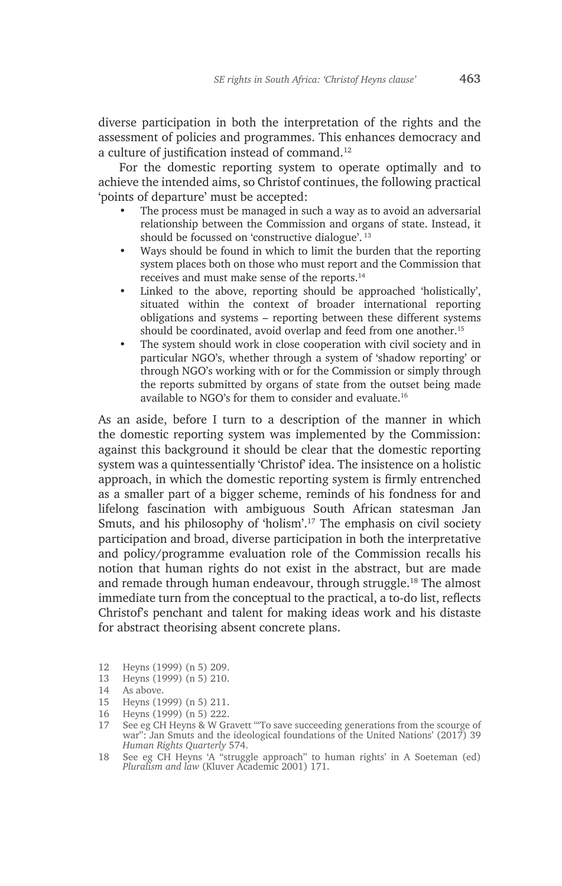diverse participation in both the interpretation of the rights and the assessment of policies and programmes. This enhances democracy and a culture of justification instead of command.<sup>12</sup>

For the domestic reporting system to operate optimally and to achieve the intended aims, so Christof continues, the following practical 'points of departure' must be accepted:

- The process must be managed in such a way as to avoid an adversarial relationship between the Commission and organs of state. Instead, it should be focussed on 'constructive dialogue'. 13
- Ways should be found in which to limit the burden that the reporting system places both on those who must report and the Commission that receives and must make sense of the reports.14
- Linked to the above, reporting should be approached 'holistically', situated within the context of broader international reporting obligations and systems – reporting between these different systems should be coordinated, avoid overlap and feed from one another.<sup>15</sup>
- The system should work in close cooperation with civil society and in particular NGO's, whether through a system of 'shadow reporting' or through NGO's working with or for the Commission or simply through the reports submitted by organs of state from the outset being made available to NGO's for them to consider and evaluate.16

As an aside, before I turn to a description of the manner in which the domestic reporting system was implemented by the Commission: against this background it should be clear that the domestic reporting system was a quintessentially 'Christof' idea. The insistence on a holistic approach, in which the domestic reporting system is firmly entrenched as a smaller part of a bigger scheme, reminds of his fondness for and lifelong fascination with ambiguous South African statesman Jan Smuts, and his philosophy of 'holism'.17 The emphasis on civil society participation and broad, diverse participation in both the interpretative and policy/programme evaluation role of the Commission recalls his notion that human rights do not exist in the abstract, but are made and remade through human endeavour, through struggle.18 The almost immediate turn from the conceptual to the practical, a to-do list, reflects Christof's penchant and talent for making ideas work and his distaste for abstract theorising absent concrete plans.

- 12 Heyns (1999) (n 5) 209.
- 13 Heyns (1999) (n 5) 210.

- 15 Heyns (1999) (n 5) 211.
- 16 Heyns (1999) (n 5) 222.
- 17 See eg CH Heyns & W Gravett '"To save succeeding generations from the scourge of war": Jan Smuts and the ideological foundations of the United Nations' (2017) 39 *Human Rights Quarterly* 574.
- 18 See eg CH Heyns 'A "struggle approach" to human rights' in A Soeteman (ed) *Pluralism and law* (Kluver Academic 2001) 171.

<sup>14</sup> As above.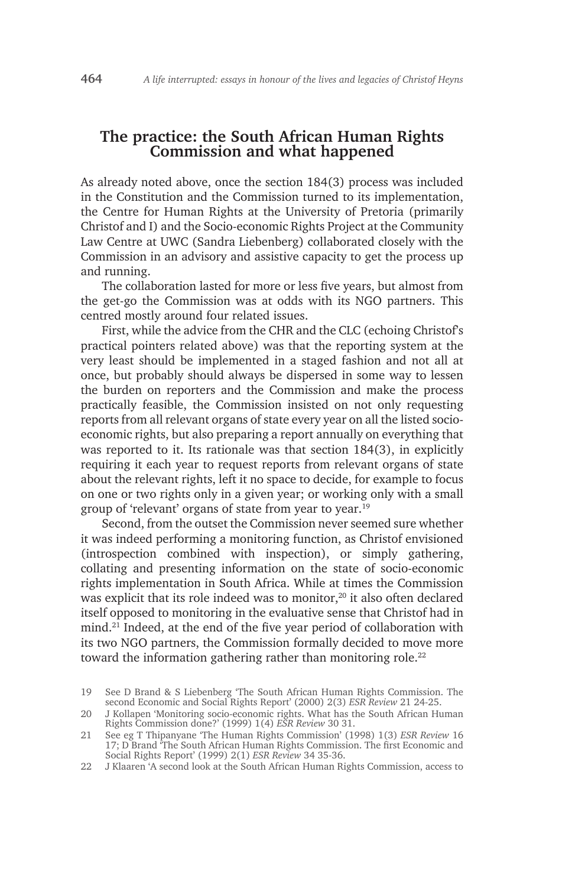# **The practice: the South African Human Rights Commission and what happened**

As already noted above, once the section 184(3) process was included in the Constitution and the Commission turned to its implementation, the Centre for Human Rights at the University of Pretoria (primarily Christof and I) and the Socio-economic Rights Project at the Community Law Centre at UWC (Sandra Liebenberg) collaborated closely with the Commission in an advisory and assistive capacity to get the process up and running.

The collaboration lasted for more or less five years, but almost from the get-go the Commission was at odds with its NGO partners. This centred mostly around four related issues.

First, while the advice from the CHR and the CLC (echoing Christof's practical pointers related above) was that the reporting system at the very least should be implemented in a staged fashion and not all at once, but probably should always be dispersed in some way to lessen the burden on reporters and the Commission and make the process practically feasible, the Commission insisted on not only requesting reports from all relevant organs of state every year on all the listed socioeconomic rights, but also preparing a report annually on everything that was reported to it. Its rationale was that section 184(3), in explicitly requiring it each year to request reports from relevant organs of state about the relevant rights, left it no space to decide, for example to focus on one or two rights only in a given year; or working only with a small group of 'relevant' organs of state from year to year.19

Second, from the outset the Commission never seemed sure whether it was indeed performing a monitoring function, as Christof envisioned (introspection combined with inspection), or simply gathering, collating and presenting information on the state of socio-economic rights implementation in South Africa. While at times the Commission was explicit that its role indeed was to monitor,<sup>20</sup> it also often declared itself opposed to monitoring in the evaluative sense that Christof had in mind.21 Indeed, at the end of the five year period of collaboration with its two NGO partners, the Commission formally decided to move more toward the information gathering rather than monitoring role.<sup>22</sup>

<sup>19</sup> See D Brand & S Liebenberg 'The South African Human Rights Commission. The second Economic and Social Rights Report' (2000) 2(3) *ESR Review* 21 24-25.

<sup>20</sup> J Kollapen 'Monitoring socio-economic rights. What has the South African Human Rights Commission done?' (1999) 1(4) *ESR Review* 30 31.

<sup>21</sup> See eg T Thipanyane 'The Human Rights Commission' (1998) 1(3) *ESR Review* 16 17; D Brand 'The South African Human Rights Commission. The first Economic and Social Rights Report' (1999) 2(1) *ESR Review* 34 35-36.

<sup>22</sup> J Klaaren 'A second look at the South African Human Rights Commission, access to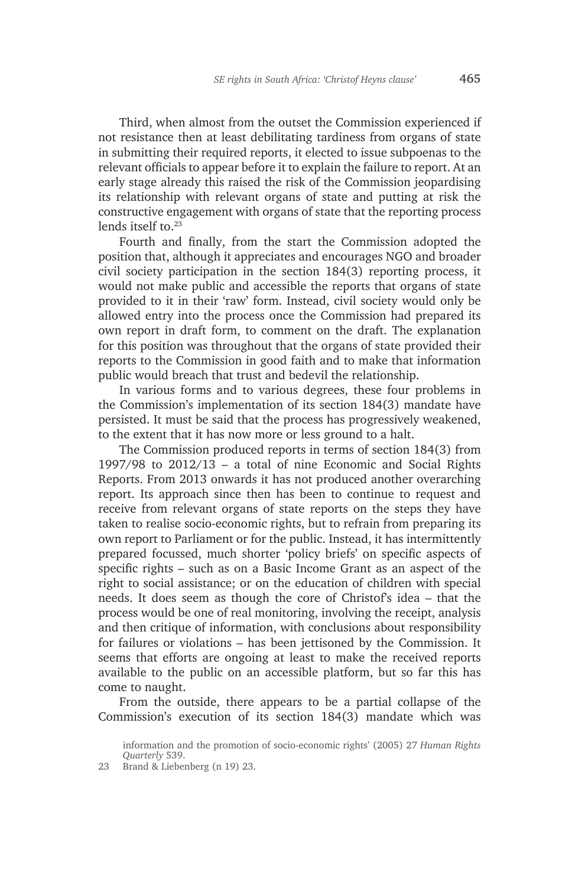Third, when almost from the outset the Commission experienced if not resistance then at least debilitating tardiness from organs of state in submitting their required reports, it elected to issue subpoenas to the relevant officials to appear before it to explain the failure to report. At an early stage already this raised the risk of the Commission jeopardising its relationship with relevant organs of state and putting at risk the constructive engagement with organs of state that the reporting process lends itself to.<sup>23</sup>

Fourth and finally, from the start the Commission adopted the position that, although it appreciates and encourages NGO and broader civil society participation in the section 184(3) reporting process, it would not make public and accessible the reports that organs of state provided to it in their 'raw' form. Instead, civil society would only be allowed entry into the process once the Commission had prepared its own report in draft form, to comment on the draft. The explanation for this position was throughout that the organs of state provided their reports to the Commission in good faith and to make that information public would breach that trust and bedevil the relationship.

In various forms and to various degrees, these four problems in the Commission's implementation of its section 184(3) mandate have persisted. It must be said that the process has progressively weakened, to the extent that it has now more or less ground to a halt.

The Commission produced reports in terms of section 184(3) from 1997/98 to 2012/13 – a total of nine Economic and Social Rights Reports. From 2013 onwards it has not produced another overarching report. Its approach since then has been to continue to request and receive from relevant organs of state reports on the steps they have taken to realise socio-economic rights, but to refrain from preparing its own report to Parliament or for the public. Instead, it has intermittently prepared focussed, much shorter 'policy briefs' on specific aspects of specific rights – such as on a Basic Income Grant as an aspect of the right to social assistance; or on the education of children with special needs. It does seem as though the core of Christof's idea – that the process would be one of real monitoring, involving the receipt, analysis and then critique of information, with conclusions about responsibility for failures or violations – has been jettisoned by the Commission. It seems that efforts are ongoing at least to make the received reports available to the public on an accessible platform, but so far this has come to naught.

From the outside, there appears to be a partial collapse of the Commission's execution of its section 184(3) mandate which was

information and the promotion of socio-economic rights' (2005) 27 *Human Rights Quarterly* 539.

<sup>23</sup> Brand & Liebenberg (n 19) 23.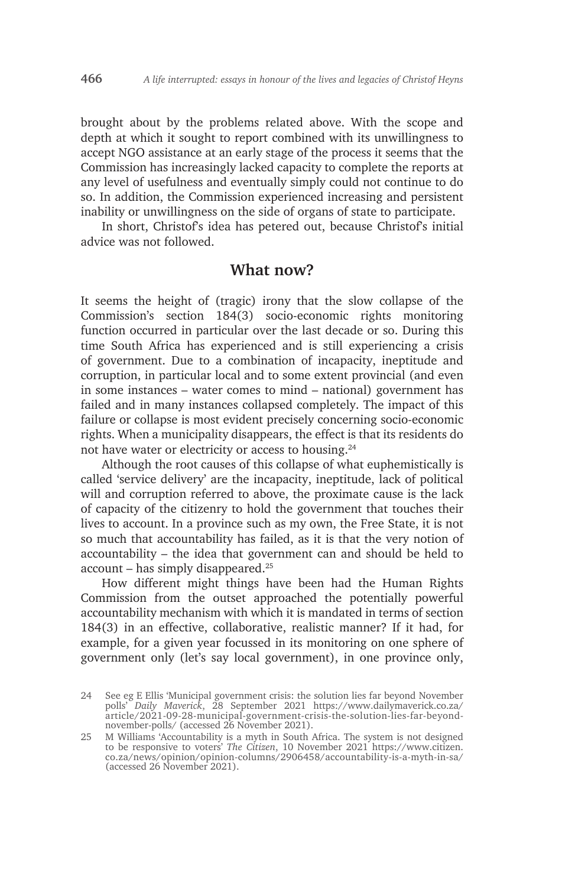brought about by the problems related above. With the scope and depth at which it sought to report combined with its unwillingness to accept NGO assistance at an early stage of the process it seems that the Commission has increasingly lacked capacity to complete the reports at any level of usefulness and eventually simply could not continue to do so. In addition, the Commission experienced increasing and persistent inability or unwillingness on the side of organs of state to participate.

In short, Christof's idea has petered out, because Christof's initial advice was not followed.

#### **What now?**

It seems the height of (tragic) irony that the slow collapse of the Commission's section 184(3) socio-economic rights monitoring function occurred in particular over the last decade or so. During this time South Africa has experienced and is still experiencing a crisis of government. Due to a combination of incapacity, ineptitude and corruption, in particular local and to some extent provincial (and even in some instances – water comes to mind – national) government has failed and in many instances collapsed completely. The impact of this failure or collapse is most evident precisely concerning socio-economic rights. When a municipality disappears, the effect is that its residents do not have water or electricity or access to housing.<sup>24</sup>

Although the root causes of this collapse of what euphemistically is called 'service delivery' are the incapacity, ineptitude, lack of political will and corruption referred to above, the proximate cause is the lack of capacity of the citizenry to hold the government that touches their lives to account. In a province such as my own, the Free State, it is not so much that accountability has failed, as it is that the very notion of accountability – the idea that government can and should be held to  $account - has simply disappeared.<sup>25</sup>$ 

How different might things have been had the Human Rights Commission from the outset approached the potentially powerful accountability mechanism with which it is mandated in terms of section 184(3) in an effective, collaborative, realistic manner? If it had, for example, for a given year focussed in its monitoring on one sphere of government only (let's say local government), in one province only,

<sup>24</sup> See eg E Ellis 'Municipal government crisis: the solution lies far beyond November polls' *Daily Maverick*, 28 September 2021 https://www.dailymaverick.co.za/ article/2021-09-28-municipal-government-crisis-the-solution-lies-far-beyondnovember-polls/ (accessed 26 November 2021).

<sup>25</sup> M Williams 'Accountability is a myth in South Africa. The system is not designed to be responsive to voters' *The Citizen*, 10 November 2021 https://www.citizen. co.za/news/opinion/opinion-columns/2906458/accountability-is-a-myth-in-sa/ (accessed 26 November 2021).